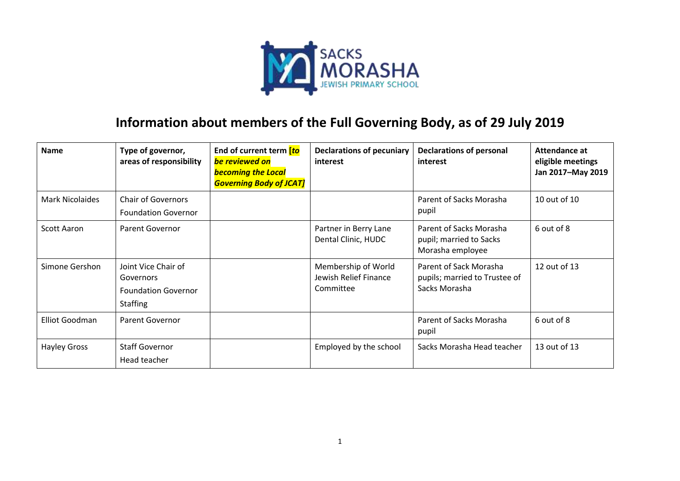

## **Information about members of the Full Governing Body, as of 29 July 2019**

| Name                  | Type of governor,<br>areas of responsibility                                      | End of current term [to<br>be reviewed on<br><b>becoming the Local</b><br><b>Governing Body of JCAT]</b> | <b>Declarations of pecuniary</b><br>interest              | <b>Declarations of personal</b><br>interest                              | Attendance at<br>eligible meetings<br>Jan 2017-May 2019 |
|-----------------------|-----------------------------------------------------------------------------------|----------------------------------------------------------------------------------------------------------|-----------------------------------------------------------|--------------------------------------------------------------------------|---------------------------------------------------------|
| Mark Nicolaides       | <b>Chair of Governors</b><br><b>Foundation Governor</b>                           |                                                                                                          |                                                           | Parent of Sacks Morasha<br>pupil                                         | 10 out of 10                                            |
| <b>Scott Aaron</b>    | <b>Parent Governor</b>                                                            |                                                                                                          | Partner in Berry Lane<br>Dental Clinic, HUDC              | Parent of Sacks Morasha<br>pupil; married to Sacks<br>Morasha employee   | 6 out of 8                                              |
| Simone Gershon        | Joint Vice Chair of<br>Governors<br><b>Foundation Governor</b><br><b>Staffing</b> |                                                                                                          | Membership of World<br>Jewish Relief Finance<br>Committee | Parent of Sack Morasha<br>pupils; married to Trustee of<br>Sacks Morasha | 12 out of 13                                            |
| <b>Elliot Goodman</b> | <b>Parent Governor</b>                                                            |                                                                                                          |                                                           | Parent of Sacks Morasha<br>pupil                                         | 6 out of 8                                              |
| <b>Hayley Gross</b>   | <b>Staff Governor</b><br>Head teacher                                             |                                                                                                          | Employed by the school                                    | Sacks Morasha Head teacher                                               | 13 out of 13                                            |